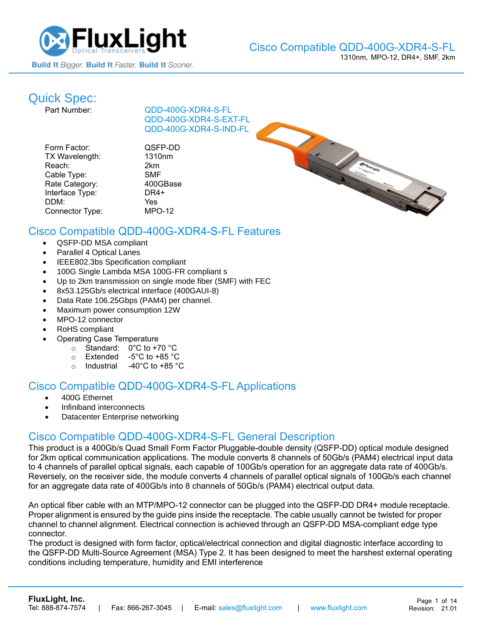

# **Quick Spec:**<br>Part Number:

[QDD-400G-XDR4-S-](https://www.fluxlight.com/QDD-400G-XDR4-S/)FL [QDD-400G-XDR4-S-](https://www.fluxlight.com/QDD-400G-XDR4-S/)EXT-FL [QDD-400G-XDR4-S-](https://www.fluxlight.com/QDD-400G-XDR4-S/)IND-FL

| Form Factor:    | QSI       |
|-----------------|-----------|
| TX Wavelength:  | 131       |
| Reach:          | 2km       |
| Cable Type:     | <b>SM</b> |
| Rate Category:  | 400       |
| Interface Type: | DR.       |
| DDM:            | Yes       |
| Connector Type: | MP)       |
|                 |           |

QSFP-DD 1310nm

2km SMF 400GBase DR4+  $MPO-12$ 



# Cisco Compatible [QDD-400G-XDR4-S-](https://www.fluxlight.com/QDD-400G-XDR4-S/)FL Features

- QSFP-DD MSA compliant
- Parallel 4 Optical Lanes
- IEEE802.3bs Specification compliant
- 100G Single Lambda MSA 100G-FR compliant s
- Up to 2km transmission on single mode fiber (SMF) with FEC
- 8x53.125Gb/s electrical interface (400GAUI-8)
- Data Rate 106.25Gbps (PAM4) per channel.
- Maximum power consumption 12W
- MPO-12 connector
- RoHS compliant
- Operating Case Temperature
	- o Standard: 0°C to +70 °C
	- o Extended -5°C to +85 °C
	- o Industrial -40°C to +85 °C

### Cisco Compatible [QDD-400G-XDR4-S-](https://www.fluxlight.com/QDD-400G-XDR4-S/)FL Applications

- 400G Ethernet
- Infiniband interconnects
- Datacenter Enterprise networking

### Cisco Compatible [QDD-400G-XDR4-S-](https://www.fluxlight.com/QDD-400G-XDR4-S/)FL General Description

This product is a 400Gb/s Quad Small Form Factor Pluggable-double density (QSFP-DD) optical module designed for 2km optical communication applications. The module converts 8 channels of 50Gb/s (PAM4) electrical input data to 4 channels of parallel optical signals, each capable of 100Gb/s operation for an aggregate data rate of 400Gb/s. Reversely, on the receiver side, the module converts 4 channels of parallel optical signals of 100Gb/s each channel for an aggregate data rate of 400Gb/s into 8 channels of 50Gb/s (PAM4) electrical output data.

An optical fiber cable with an MTP/MPO-12 connector can be plugged into the QSFP-DD DR4+ module receptacle. Proper alignment is ensured by the guide pins inside the receptacle. The cable usually cannot be twisted for proper channel to channel alignment. Electrical connection is achieved through an QSFP-DD MSA-compliant edge type connector.

The product is designed with form factor, optical/electrical connection and digital diagnostic interface according to the QSFP-DD Multi-Source Agreement (MSA) Type 2. It has been designed to meet the harshest external operating conditions including temperature, humidity and EMI interference

**[FluxLight, Inc.](https://www.fluxlight.com/)**

Tel: 888-874-7574 | Fax: 866-267-3045 | E-mail: [sales@fluxlight.com](mailto:sales@fluxlight.com) | [www.fluxlight.com](http://www.fluxlight.com/)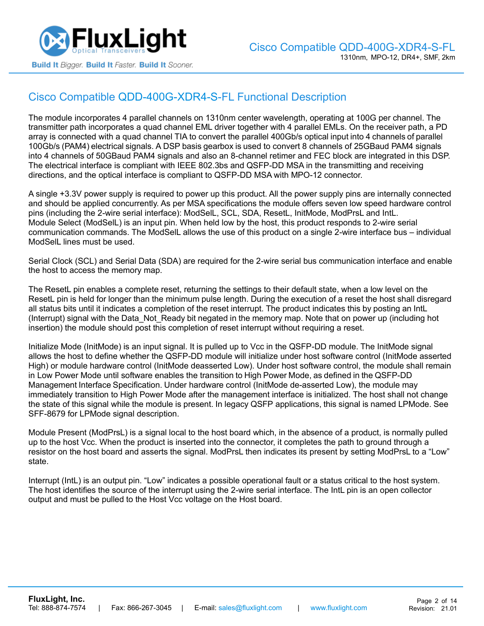

# Cisco Compatible [QDD-400G-XDR4-S-](https://www.fluxlight.com/QDD-400G-XDR4-S/)FL Functional Description

The module incorporates 4 parallel channels on 1310nm center wavelength, operating at 100G per channel. The transmitter path incorporates a quad channel EML driver together with 4 parallel EMLs. On the receiver path, a PD array is connected with a quad channel TIA to convert the parallel 400Gb/s optical input into 4 channels of parallel 100Gb/s (PAM4) electrical signals. A DSP basis gearbox is used to convert 8 channels of 25GBaud PAM4 signals into 4 channels of 50GBaud PAM4 signals and also an 8-channel retimer and FEC block are integrated in this DSP. The electrical interface is compliant with IEEE 802.3bs and QSFP-DD MSA in the transmitting and receiving directions, and the optical interface is compliant to QSFP-DD MSA with MPO-12 connector.

A single +3.3V power supply is required to power up this product. All the power supply pins are internally connected and should be applied concurrently. As per MSA specifications the module offers seven low speed hardware control pins (including the 2-wire serial interface): ModSelL, SCL, SDA, ResetL, InitMode, ModPrsL and IntL. Module Select (ModSelL) is an input pin. When held low by the host, this product responds to 2-wire serial communication commands. The ModSelL allows the use of this product on a single 2-wire interface bus – individual ModSelL lines must be used.

Serial Clock (SCL) and Serial Data (SDA) are required for the 2-wire serial bus communication interface and enable the host to access the memory map.

The ResetL pin enables a complete reset, returning the settings to their default state, when a low level on the ResetL pin is held for longer than the minimum pulse length. During the execution of a reset the host shall disregard all status bits until it indicates a completion of the reset interrupt. The product indicates this by posting an IntL (Interrupt) signal with the Data\_Not\_Ready bit negated in the memory map. Note that on power up (including hot insertion) the module should post this completion of reset interrupt without requiring a reset.

Initialize Mode (InitMode) is an input signal. It is pulled up to Vcc in the QSFP-DD module. The InitMode signal allows the host to define whether the QSFP-DD module will initialize under host software control (InitMode asserted High) or module hardware control (InitMode deasserted Low). Under host software control, the module shall remain in Low Power Mode until software enables the transition to High Power Mode, as defined in the QSFP-DD Management Interface Specification. Under hardware control (InitMode de-asserted Low), the module may immediately transition to High Power Mode after the management interface is initialized. The host shall not change the state of this signal while the module is present. In legacy QSFP applications, this signal is named LPMode. See SFF-8679 for LPMode signal description.

Module Present (ModPrsL) is a signal local to the host board which, in the absence of a product, is normally pulled up to the host Vcc. When the product is inserted into the connector, it completes the path to ground through a resistor on the host board and asserts the signal. ModPrsL then indicates its present by setting ModPrsL to a "Low" state.

Interrupt (IntL) is an output pin. "Low" indicates a possible operational fault or a status critical to the host system. The host identifies the source of the interrupt using the 2-wire serial interface. The IntL pin is an open collector output and must be pulled to the Host Vcc voltage on the Host board.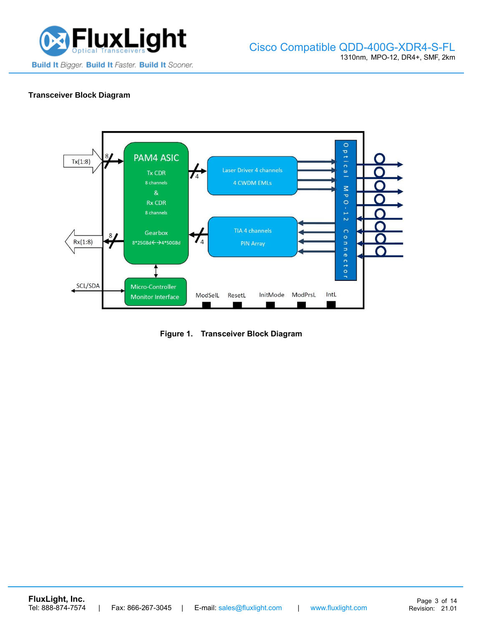

#### **Transceiver Block Diagram**



**Figure 1. Transceiver Block Diagram**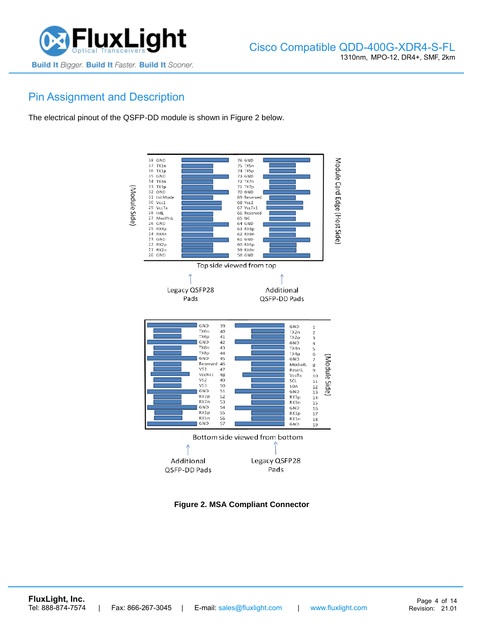

# Pin Assignment and Description

The electrical pinout of the QSFP-DD module is shown in Figure 2 below.



**Figure 2. MSA Compliant Connector**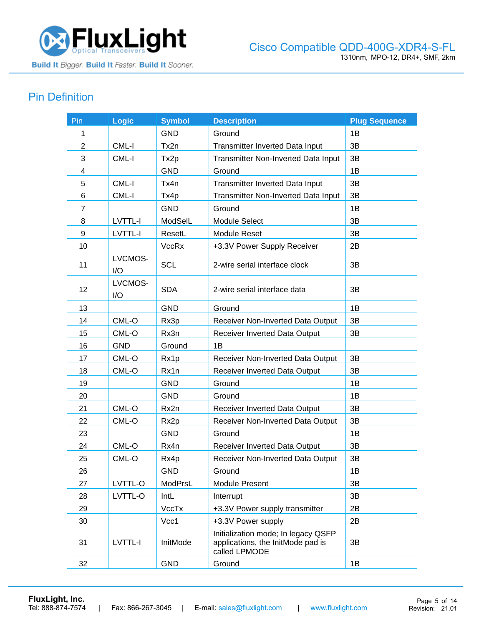

# Pin Definition

| Pin            | <b>Logic</b>   | <b>Symbol</b>    | <b>Description</b>                                                                        | <b>Plug Sequence</b> |
|----------------|----------------|------------------|-------------------------------------------------------------------------------------------|----------------------|
| 1              |                | <b>GND</b>       | Ground                                                                                    | 1B                   |
| $\overline{2}$ | CML-I          | Tx2n             | <b>Transmitter Inverted Data Input</b>                                                    | 3B                   |
| 3              | CML-I          | Tx <sub>2p</sub> | Transmitter Non-Inverted Data Input                                                       | 3B                   |
| 4              |                | <b>GND</b>       | Ground                                                                                    | 1B                   |
| 5              | CML-I          | Tx4n             | <b>Transmitter Inverted Data Input</b>                                                    | 3B                   |
| 6              | CML-I          | Tx4p             | Transmitter Non-Inverted Data Input                                                       | 3B                   |
| $\overline{7}$ |                | <b>GND</b>       | Ground                                                                                    | 1B                   |
| 8              | LVTTL-I        | ModSelL          | <b>Module Select</b>                                                                      | 3B                   |
| 9              | LVTTL-I        | ResetL           | <b>Module Reset</b>                                                                       | 3B                   |
| 10             |                | VccRx            | +3.3V Power Supply Receiver                                                               | 2B                   |
| 11             | LVCMOS-<br>I/O | <b>SCL</b>       | 2-wire serial interface clock                                                             | 3B                   |
| 12             | LVCMOS-<br>I/O | <b>SDA</b>       | 2-wire serial interface data                                                              | 3B                   |
| 13             |                | <b>GND</b>       | Ground                                                                                    | 1B                   |
| 14             | CML-O          | Rx3p             | Receiver Non-Inverted Data Output                                                         | 3B                   |
| 15             | CML-O          | Rx3n             | Receiver Inverted Data Output                                                             | 3B                   |
| 16             | <b>GND</b>     | Ground           | 1B                                                                                        |                      |
| 17             | CML-O          | Rx1p             | Receiver Non-Inverted Data Output                                                         | 3B                   |
| 18             | CML-O          | Rx1n             | Receiver Inverted Data Output                                                             | 3B                   |
| 19             |                | <b>GND</b>       | Ground                                                                                    | 1B                   |
| 20             |                | <b>GND</b>       | Ground                                                                                    | 1B                   |
| 21             | CML-O          | Rx2n             | Receiver Inverted Data Output                                                             | 3B                   |
| 22             | CML-O          | Rx2p             | Receiver Non-Inverted Data Output                                                         | 3B                   |
| 23             |                | <b>GND</b>       | Ground                                                                                    | 1B                   |
| 24             | CML-O          | Rx4n             | Receiver Inverted Data Output                                                             | 3B                   |
| 25             | CML-O          | Rx4p             | Receiver Non-Inverted Data Output                                                         | 3B                   |
| 26             |                | <b>GND</b>       | Ground                                                                                    | 1B                   |
| 27             | LVTTL-O        | ModPrsL          | <b>Module Present</b>                                                                     | 3B                   |
| 28             | LVTTL-O        | IntL             | Interrupt                                                                                 | 3B                   |
| 29             |                | VccTx            | +3.3V Power supply transmitter                                                            | 2B                   |
| 30             |                | Vcc1             | +3.3V Power supply                                                                        | 2B                   |
| 31             | LVTTL-I        | InitMode         | Initialization mode; In legacy QSFP<br>applications, the InitMode pad is<br>called LPMODE | 3B                   |
| 32             |                | <b>GND</b>       | Ground                                                                                    | 1B                   |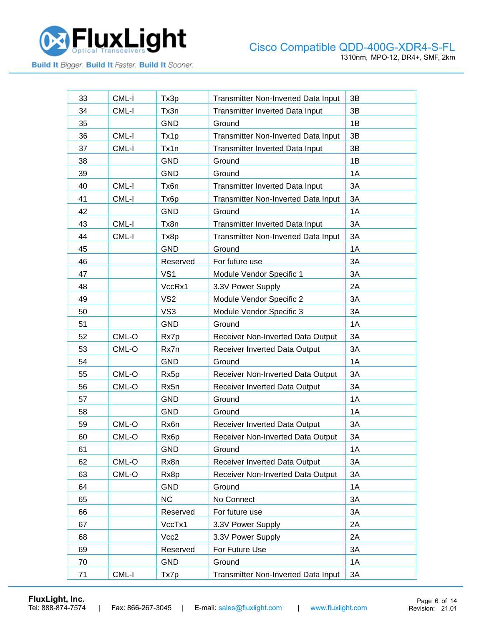

| 33<br>CML-I<br>Transmitter Non-Inverted Data Input<br>3B<br>Tx3p<br>3B<br>34<br>CML-I<br>Tx3n<br>Transmitter Inverted Data Input<br>35<br><b>GND</b><br>1B<br>Ground<br>3B<br>36<br>CML-I<br><b>Transmitter Non-Inverted Data Input</b><br>Tx1p<br>3B<br>37<br>CML-I<br>Tx1n<br>Transmitter Inverted Data Input<br>38<br>1B<br><b>GND</b><br>Ground<br>39<br><b>GND</b><br>1A<br>Ground<br>40<br>CML-I<br>3A<br>Tx6n<br>Transmitter Inverted Data Input<br>CML-I<br>3A<br>41<br>Tx <sub>6</sub> p<br>Transmitter Non-Inverted Data Input<br>42<br>1A<br><b>GND</b><br>Ground<br>3A<br>43<br>CML-I<br>Tx8n<br><b>Transmitter Inverted Data Input</b><br>44<br>CML-I<br>3A<br>Tx8p<br>Transmitter Non-Inverted Data Input<br>45<br><b>GND</b><br>1A<br>Ground<br>46<br>3A<br>Reserved<br>For future use<br>VS <sub>1</sub><br>3A<br>47<br>Module Vendor Specific 1<br>48<br>VccRx1<br>2A<br>3.3V Power Supply<br>49<br>VS <sub>2</sub><br>Module Vendor Specific 2<br>3A<br>3A<br>50<br>VS <sub>3</sub><br>Module Vendor Specific 3<br>51<br><b>GND</b><br>1A<br>Ground<br>52<br>CML-O<br>Receiver Non-Inverted Data Output<br>3A<br>Rx7p<br>3A<br>53<br>CML-O<br>Rx7n<br>Receiver Inverted Data Output<br>54<br><b>GND</b><br>1A<br>Ground<br>55<br>CML-O<br>Receiver Non-Inverted Data Output<br>3A<br>Rx5p<br>3A<br>56<br>CML-O<br>Rx5n<br>Receiver Inverted Data Output<br>57<br><b>GND</b><br>1A<br>Ground<br><b>GND</b><br>1A<br>58<br>Ground<br>59<br>CML-O<br>Rx6n<br>3A<br><b>Receiver Inverted Data Output</b><br>60<br>CML-O<br>3A<br>Rx <sub>6</sub> p<br>Receiver Non-Inverted Data Output<br><b>GND</b><br>1A<br>61<br>Ground<br>3A<br>62<br>CML-O<br>Rx8n<br>Receiver Inverted Data Output<br>63<br>CML-O<br>Receiver Non-Inverted Data Output<br>3A<br>Rx8p<br><b>GND</b><br>Ground<br>1A<br>64<br><b>NC</b><br>65<br>No Connect<br>3A<br>Reserved<br>For future use<br>3A<br>66<br>67<br>VccTx1<br>2A<br>3.3V Power Supply<br>Vcc2<br>2A<br>68<br>3.3V Power Supply<br>69<br>Reserved<br>For Future Use<br>3A<br><b>GND</b><br>1A<br>70<br>Ground<br>CML-I<br>71<br>Tx7p<br>Transmitter Non-Inverted Data Input<br>3A |  |  |  |
|--------------------------------------------------------------------------------------------------------------------------------------------------------------------------------------------------------------------------------------------------------------------------------------------------------------------------------------------------------------------------------------------------------------------------------------------------------------------------------------------------------------------------------------------------------------------------------------------------------------------------------------------------------------------------------------------------------------------------------------------------------------------------------------------------------------------------------------------------------------------------------------------------------------------------------------------------------------------------------------------------------------------------------------------------------------------------------------------------------------------------------------------------------------------------------------------------------------------------------------------------------------------------------------------------------------------------------------------------------------------------------------------------------------------------------------------------------------------------------------------------------------------------------------------------------------------------------------------------------------------------------------------------------------------------------------------------------------------------------------------------------------------------------------------------------------------------------------------------------------------------------------------------------------------------------------------------------------------------------------------------------------------------------------------------------------------------------------------------------------------------------------|--|--|--|
|                                                                                                                                                                                                                                                                                                                                                                                                                                                                                                                                                                                                                                                                                                                                                                                                                                                                                                                                                                                                                                                                                                                                                                                                                                                                                                                                                                                                                                                                                                                                                                                                                                                                                                                                                                                                                                                                                                                                                                                                                                                                                                                                      |  |  |  |
|                                                                                                                                                                                                                                                                                                                                                                                                                                                                                                                                                                                                                                                                                                                                                                                                                                                                                                                                                                                                                                                                                                                                                                                                                                                                                                                                                                                                                                                                                                                                                                                                                                                                                                                                                                                                                                                                                                                                                                                                                                                                                                                                      |  |  |  |
|                                                                                                                                                                                                                                                                                                                                                                                                                                                                                                                                                                                                                                                                                                                                                                                                                                                                                                                                                                                                                                                                                                                                                                                                                                                                                                                                                                                                                                                                                                                                                                                                                                                                                                                                                                                                                                                                                                                                                                                                                                                                                                                                      |  |  |  |
|                                                                                                                                                                                                                                                                                                                                                                                                                                                                                                                                                                                                                                                                                                                                                                                                                                                                                                                                                                                                                                                                                                                                                                                                                                                                                                                                                                                                                                                                                                                                                                                                                                                                                                                                                                                                                                                                                                                                                                                                                                                                                                                                      |  |  |  |
|                                                                                                                                                                                                                                                                                                                                                                                                                                                                                                                                                                                                                                                                                                                                                                                                                                                                                                                                                                                                                                                                                                                                                                                                                                                                                                                                                                                                                                                                                                                                                                                                                                                                                                                                                                                                                                                                                                                                                                                                                                                                                                                                      |  |  |  |
|                                                                                                                                                                                                                                                                                                                                                                                                                                                                                                                                                                                                                                                                                                                                                                                                                                                                                                                                                                                                                                                                                                                                                                                                                                                                                                                                                                                                                                                                                                                                                                                                                                                                                                                                                                                                                                                                                                                                                                                                                                                                                                                                      |  |  |  |
|                                                                                                                                                                                                                                                                                                                                                                                                                                                                                                                                                                                                                                                                                                                                                                                                                                                                                                                                                                                                                                                                                                                                                                                                                                                                                                                                                                                                                                                                                                                                                                                                                                                                                                                                                                                                                                                                                                                                                                                                                                                                                                                                      |  |  |  |
|                                                                                                                                                                                                                                                                                                                                                                                                                                                                                                                                                                                                                                                                                                                                                                                                                                                                                                                                                                                                                                                                                                                                                                                                                                                                                                                                                                                                                                                                                                                                                                                                                                                                                                                                                                                                                                                                                                                                                                                                                                                                                                                                      |  |  |  |
|                                                                                                                                                                                                                                                                                                                                                                                                                                                                                                                                                                                                                                                                                                                                                                                                                                                                                                                                                                                                                                                                                                                                                                                                                                                                                                                                                                                                                                                                                                                                                                                                                                                                                                                                                                                                                                                                                                                                                                                                                                                                                                                                      |  |  |  |
|                                                                                                                                                                                                                                                                                                                                                                                                                                                                                                                                                                                                                                                                                                                                                                                                                                                                                                                                                                                                                                                                                                                                                                                                                                                                                                                                                                                                                                                                                                                                                                                                                                                                                                                                                                                                                                                                                                                                                                                                                                                                                                                                      |  |  |  |
|                                                                                                                                                                                                                                                                                                                                                                                                                                                                                                                                                                                                                                                                                                                                                                                                                                                                                                                                                                                                                                                                                                                                                                                                                                                                                                                                                                                                                                                                                                                                                                                                                                                                                                                                                                                                                                                                                                                                                                                                                                                                                                                                      |  |  |  |
|                                                                                                                                                                                                                                                                                                                                                                                                                                                                                                                                                                                                                                                                                                                                                                                                                                                                                                                                                                                                                                                                                                                                                                                                                                                                                                                                                                                                                                                                                                                                                                                                                                                                                                                                                                                                                                                                                                                                                                                                                                                                                                                                      |  |  |  |
|                                                                                                                                                                                                                                                                                                                                                                                                                                                                                                                                                                                                                                                                                                                                                                                                                                                                                                                                                                                                                                                                                                                                                                                                                                                                                                                                                                                                                                                                                                                                                                                                                                                                                                                                                                                                                                                                                                                                                                                                                                                                                                                                      |  |  |  |
|                                                                                                                                                                                                                                                                                                                                                                                                                                                                                                                                                                                                                                                                                                                                                                                                                                                                                                                                                                                                                                                                                                                                                                                                                                                                                                                                                                                                                                                                                                                                                                                                                                                                                                                                                                                                                                                                                                                                                                                                                                                                                                                                      |  |  |  |
|                                                                                                                                                                                                                                                                                                                                                                                                                                                                                                                                                                                                                                                                                                                                                                                                                                                                                                                                                                                                                                                                                                                                                                                                                                                                                                                                                                                                                                                                                                                                                                                                                                                                                                                                                                                                                                                                                                                                                                                                                                                                                                                                      |  |  |  |
|                                                                                                                                                                                                                                                                                                                                                                                                                                                                                                                                                                                                                                                                                                                                                                                                                                                                                                                                                                                                                                                                                                                                                                                                                                                                                                                                                                                                                                                                                                                                                                                                                                                                                                                                                                                                                                                                                                                                                                                                                                                                                                                                      |  |  |  |
|                                                                                                                                                                                                                                                                                                                                                                                                                                                                                                                                                                                                                                                                                                                                                                                                                                                                                                                                                                                                                                                                                                                                                                                                                                                                                                                                                                                                                                                                                                                                                                                                                                                                                                                                                                                                                                                                                                                                                                                                                                                                                                                                      |  |  |  |
|                                                                                                                                                                                                                                                                                                                                                                                                                                                                                                                                                                                                                                                                                                                                                                                                                                                                                                                                                                                                                                                                                                                                                                                                                                                                                                                                                                                                                                                                                                                                                                                                                                                                                                                                                                                                                                                                                                                                                                                                                                                                                                                                      |  |  |  |
|                                                                                                                                                                                                                                                                                                                                                                                                                                                                                                                                                                                                                                                                                                                                                                                                                                                                                                                                                                                                                                                                                                                                                                                                                                                                                                                                                                                                                                                                                                                                                                                                                                                                                                                                                                                                                                                                                                                                                                                                                                                                                                                                      |  |  |  |
|                                                                                                                                                                                                                                                                                                                                                                                                                                                                                                                                                                                                                                                                                                                                                                                                                                                                                                                                                                                                                                                                                                                                                                                                                                                                                                                                                                                                                                                                                                                                                                                                                                                                                                                                                                                                                                                                                                                                                                                                                                                                                                                                      |  |  |  |
|                                                                                                                                                                                                                                                                                                                                                                                                                                                                                                                                                                                                                                                                                                                                                                                                                                                                                                                                                                                                                                                                                                                                                                                                                                                                                                                                                                                                                                                                                                                                                                                                                                                                                                                                                                                                                                                                                                                                                                                                                                                                                                                                      |  |  |  |
|                                                                                                                                                                                                                                                                                                                                                                                                                                                                                                                                                                                                                                                                                                                                                                                                                                                                                                                                                                                                                                                                                                                                                                                                                                                                                                                                                                                                                                                                                                                                                                                                                                                                                                                                                                                                                                                                                                                                                                                                                                                                                                                                      |  |  |  |
|                                                                                                                                                                                                                                                                                                                                                                                                                                                                                                                                                                                                                                                                                                                                                                                                                                                                                                                                                                                                                                                                                                                                                                                                                                                                                                                                                                                                                                                                                                                                                                                                                                                                                                                                                                                                                                                                                                                                                                                                                                                                                                                                      |  |  |  |
|                                                                                                                                                                                                                                                                                                                                                                                                                                                                                                                                                                                                                                                                                                                                                                                                                                                                                                                                                                                                                                                                                                                                                                                                                                                                                                                                                                                                                                                                                                                                                                                                                                                                                                                                                                                                                                                                                                                                                                                                                                                                                                                                      |  |  |  |
|                                                                                                                                                                                                                                                                                                                                                                                                                                                                                                                                                                                                                                                                                                                                                                                                                                                                                                                                                                                                                                                                                                                                                                                                                                                                                                                                                                                                                                                                                                                                                                                                                                                                                                                                                                                                                                                                                                                                                                                                                                                                                                                                      |  |  |  |
|                                                                                                                                                                                                                                                                                                                                                                                                                                                                                                                                                                                                                                                                                                                                                                                                                                                                                                                                                                                                                                                                                                                                                                                                                                                                                                                                                                                                                                                                                                                                                                                                                                                                                                                                                                                                                                                                                                                                                                                                                                                                                                                                      |  |  |  |
|                                                                                                                                                                                                                                                                                                                                                                                                                                                                                                                                                                                                                                                                                                                                                                                                                                                                                                                                                                                                                                                                                                                                                                                                                                                                                                                                                                                                                                                                                                                                                                                                                                                                                                                                                                                                                                                                                                                                                                                                                                                                                                                                      |  |  |  |
|                                                                                                                                                                                                                                                                                                                                                                                                                                                                                                                                                                                                                                                                                                                                                                                                                                                                                                                                                                                                                                                                                                                                                                                                                                                                                                                                                                                                                                                                                                                                                                                                                                                                                                                                                                                                                                                                                                                                                                                                                                                                                                                                      |  |  |  |
|                                                                                                                                                                                                                                                                                                                                                                                                                                                                                                                                                                                                                                                                                                                                                                                                                                                                                                                                                                                                                                                                                                                                                                                                                                                                                                                                                                                                                                                                                                                                                                                                                                                                                                                                                                                                                                                                                                                                                                                                                                                                                                                                      |  |  |  |
|                                                                                                                                                                                                                                                                                                                                                                                                                                                                                                                                                                                                                                                                                                                                                                                                                                                                                                                                                                                                                                                                                                                                                                                                                                                                                                                                                                                                                                                                                                                                                                                                                                                                                                                                                                                                                                                                                                                                                                                                                                                                                                                                      |  |  |  |
|                                                                                                                                                                                                                                                                                                                                                                                                                                                                                                                                                                                                                                                                                                                                                                                                                                                                                                                                                                                                                                                                                                                                                                                                                                                                                                                                                                                                                                                                                                                                                                                                                                                                                                                                                                                                                                                                                                                                                                                                                                                                                                                                      |  |  |  |
|                                                                                                                                                                                                                                                                                                                                                                                                                                                                                                                                                                                                                                                                                                                                                                                                                                                                                                                                                                                                                                                                                                                                                                                                                                                                                                                                                                                                                                                                                                                                                                                                                                                                                                                                                                                                                                                                                                                                                                                                                                                                                                                                      |  |  |  |
|                                                                                                                                                                                                                                                                                                                                                                                                                                                                                                                                                                                                                                                                                                                                                                                                                                                                                                                                                                                                                                                                                                                                                                                                                                                                                                                                                                                                                                                                                                                                                                                                                                                                                                                                                                                                                                                                                                                                                                                                                                                                                                                                      |  |  |  |
|                                                                                                                                                                                                                                                                                                                                                                                                                                                                                                                                                                                                                                                                                                                                                                                                                                                                                                                                                                                                                                                                                                                                                                                                                                                                                                                                                                                                                                                                                                                                                                                                                                                                                                                                                                                                                                                                                                                                                                                                                                                                                                                                      |  |  |  |
|                                                                                                                                                                                                                                                                                                                                                                                                                                                                                                                                                                                                                                                                                                                                                                                                                                                                                                                                                                                                                                                                                                                                                                                                                                                                                                                                                                                                                                                                                                                                                                                                                                                                                                                                                                                                                                                                                                                                                                                                                                                                                                                                      |  |  |  |
|                                                                                                                                                                                                                                                                                                                                                                                                                                                                                                                                                                                                                                                                                                                                                                                                                                                                                                                                                                                                                                                                                                                                                                                                                                                                                                                                                                                                                                                                                                                                                                                                                                                                                                                                                                                                                                                                                                                                                                                                                                                                                                                                      |  |  |  |
|                                                                                                                                                                                                                                                                                                                                                                                                                                                                                                                                                                                                                                                                                                                                                                                                                                                                                                                                                                                                                                                                                                                                                                                                                                                                                                                                                                                                                                                                                                                                                                                                                                                                                                                                                                                                                                                                                                                                                                                                                                                                                                                                      |  |  |  |
|                                                                                                                                                                                                                                                                                                                                                                                                                                                                                                                                                                                                                                                                                                                                                                                                                                                                                                                                                                                                                                                                                                                                                                                                                                                                                                                                                                                                                                                                                                                                                                                                                                                                                                                                                                                                                                                                                                                                                                                                                                                                                                                                      |  |  |  |
|                                                                                                                                                                                                                                                                                                                                                                                                                                                                                                                                                                                                                                                                                                                                                                                                                                                                                                                                                                                                                                                                                                                                                                                                                                                                                                                                                                                                                                                                                                                                                                                                                                                                                                                                                                                                                                                                                                                                                                                                                                                                                                                                      |  |  |  |

**[FluxLight, Inc.](https://www.fluxlight.com/)**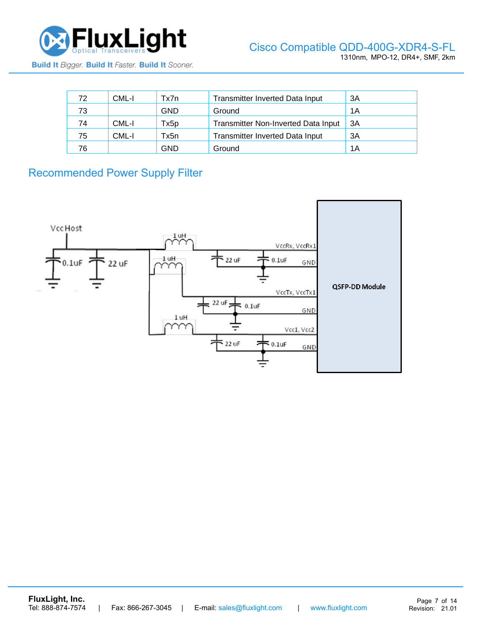

| 72 | CML-I | Tx7n | <b>Transmitter Inverted Data Input</b>     | 3A |
|----|-------|------|--------------------------------------------|----|
| 73 |       | GND  | Ground                                     | 1A |
| 74 | CML-I | Tx5p | <b>Transmitter Non-Inverted Data Input</b> | 3A |
| 75 | CML-I | Tx5n | <b>Transmitter Inverted Data Input</b>     | 3A |
| 76 |       | GND  | Ground                                     | 1A |

Recommended Power Supply Filter

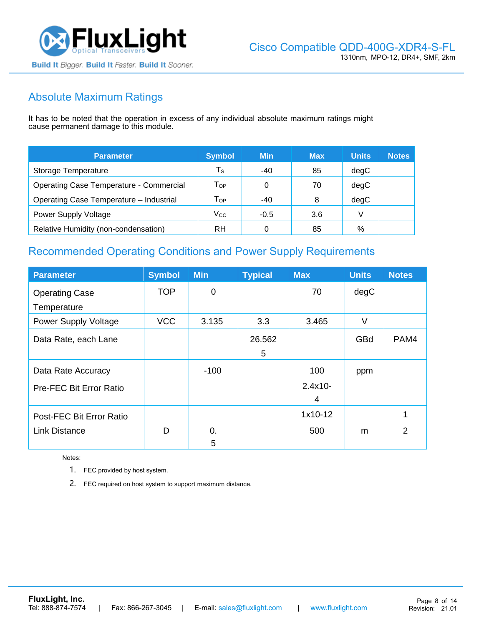

# Absolute Maximum Ratings

It has to be noted that the operation in excess of any individual absolute maximum ratings might cause permanent damage to this module.

| <b>Parameter</b>                               | <b>Symbol</b>              | <b>Min</b> | <b>Max</b> | <b>Units</b> | <b>Notes</b> |
|------------------------------------------------|----------------------------|------------|------------|--------------|--------------|
| Storage Temperature                            | $\mathsf{T}_\mathsf{S}$    | -40        | 85         | degC         |              |
| <b>Operating Case Temperature - Commercial</b> | $\mathsf{T}_{\mathsf{OP}}$ |            | 70         | degC         |              |
| Operating Case Temperature - Industrial        | $\mathsf{T}_{\mathsf{OP}}$ | -40        | 8          | degC         |              |
| Power Supply Voltage                           | $V_{\rm CC}$               | $-0.5$     | 3.6        |              |              |
| Relative Humidity (non-condensation)           | RH                         |            | 85         | %            |              |

# Recommended Operating Conditions and Power Supply Requirements

| <b>Parameter</b>               | <b>Symbol</b> | <b>Min</b>  | <b>Typical</b> | <b>Max</b> | <b>Units</b> | <b>Notes</b>   |
|--------------------------------|---------------|-------------|----------------|------------|--------------|----------------|
| <b>Operating Case</b>          | <b>TOP</b>    | $\mathbf 0$ |                | 70         | degC         |                |
| Temperature                    |               |             |                |            |              |                |
| <b>Power Supply Voltage</b>    | <b>VCC</b>    | 3.135       | 3.3            | 3.465      | $\vee$       |                |
| Data Rate, each Lane           |               |             | 26.562         |            | GBd          | PAM4           |
|                                |               |             | 5              |            |              |                |
| Data Rate Accuracy             |               | $-100$      |                | 100        | ppm          |                |
| <b>Pre-FEC Bit Error Ratio</b> |               |             |                | $2.4x10 -$ |              |                |
|                                |               |             |                | 4          |              |                |
| Post-FEC Bit Error Ratio       |               |             |                | $1x10-12$  |              | 1              |
| <b>Link Distance</b>           | D             | 0.          |                | 500        | m            | $\overline{2}$ |
|                                |               | 5           |                |            |              |                |

Notes:

1. FEC provided by host system.

2. FEC required on host system to support maximum distance.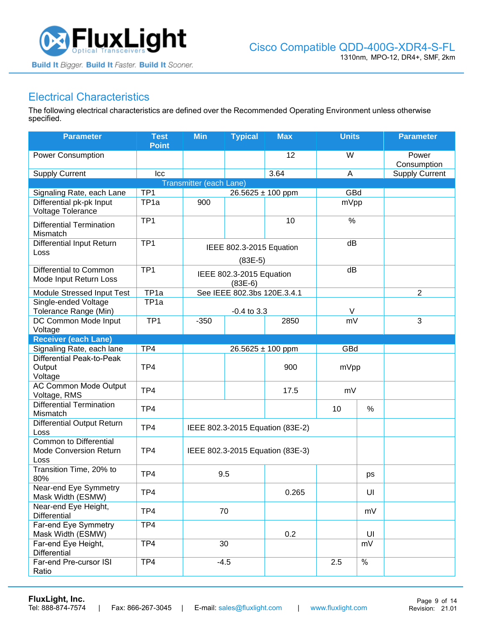

### Electrical Characteristics

The following electrical characteristics are defined over the Recommended Operating Environment unless otherwise specified.

| <b>Parameter</b>                                                       | <b>Test</b><br><b>Point</b> | <b>Min</b>              | <b>Typical</b>                        | <b>Max</b>                       | <b>Units</b> |               | <b>Parameter</b>      |
|------------------------------------------------------------------------|-----------------------------|-------------------------|---------------------------------------|----------------------------------|--------------|---------------|-----------------------|
| <b>Power Consumption</b>                                               |                             |                         |                                       | 12                               | W            |               | Power<br>Consumption  |
| <b>Supply Current</b>                                                  | Icc                         |                         |                                       | 3.64                             | A            |               | <b>Supply Current</b> |
|                                                                        |                             | Transmitter (each Lane) |                                       |                                  |              |               |                       |
| Signaling Rate, each Lane                                              | TP1                         |                         | 26.5625 ± 100 ppm                     |                                  | GBd          |               |                       |
| Differential pk-pk Input<br>Voltage Tolerance                          | TP <sub>1a</sub>            | 900                     |                                       |                                  | mVpp         |               |                       |
| <b>Differential Termination</b><br>Mismatch                            | TP <sub>1</sub>             |                         |                                       | 10                               | $\%$         |               |                       |
| <b>Differential Input Return</b><br>Loss                               | TP <sub>1</sub>             |                         | IEEE 802.3-2015 Equation              |                                  | dB           |               |                       |
| Differential to Common                                                 | TP1                         |                         | $(83E-5)$<br>IEEE 802.3-2015 Equation |                                  | dB           |               |                       |
| Mode Input Return Loss                                                 |                             |                         | $(83E-6)$                             |                                  |              |               |                       |
| Module Stressed Input Test                                             | TP <sub>1a</sub>            |                         | See IEEE 802.3bs 120E.3.4.1           |                                  |              |               | $\overline{2}$        |
| Single-ended Voltage<br>Tolerance Range (Min)                          | TP <sub>1a</sub>            |                         | $-0.4$ to $3.3$                       |                                  | V            |               |                       |
| DC Common Mode Input<br>Voltage                                        | TP <sub>1</sub>             | $-350$                  |                                       | 2850                             | mV           |               | $\mathfrak{3}$        |
| <b>Receiver (each Lane)</b>                                            |                             |                         |                                       |                                  |              |               |                       |
| Signaling Rate, each lane                                              | TP4                         |                         | $26.5625 \pm 100$ ppm                 |                                  | GBd          |               |                       |
| Differential Peak-to-Peak<br>Output<br>Voltage                         | TP4                         |                         |                                       | 900                              | mVpp         |               |                       |
| <b>AC Common Mode Output</b><br>Voltage, RMS                           | TP4                         |                         |                                       | 17.5                             | mV           |               |                       |
| <b>Differential Termination</b><br>Mismatch                            | TP4                         |                         |                                       |                                  | 10           | $\%$          |                       |
| <b>Differential Output Return</b><br>Loss                              | TP4                         |                         |                                       | IEEE 802.3-2015 Equation (83E-2) |              |               |                       |
| <b>Common to Differential</b><br><b>Mode Conversion Return</b><br>Loss | TP4                         |                         |                                       | IEEE 802.3-2015 Equation (83E-3) |              |               |                       |
| Transition Time, 20% to<br>80%                                         | TP4                         | 9.5                     |                                       |                                  |              | ps            |                       |
| Near-end Eye Symmetry<br>Mask Width (ESMW)                             | TP4                         |                         |                                       | 0.265                            |              | UI            |                       |
| Near-end Eye Height,<br>Differential                                   | TP4                         | 70                      |                                       |                                  |              | mV            |                       |
| Far-end Eye Symmetry<br>Mask Width (ESMW)                              | TP4                         |                         |                                       | 0.2                              |              | UI            |                       |
| Far-end Eye Height,<br><b>Differential</b>                             | TP4                         | 30                      |                                       |                                  |              | mV            |                       |
| Far-end Pre-cursor ISI<br>Ratio                                        | TP4                         | $-4.5$                  |                                       |                                  | 2.5          | $\frac{0}{6}$ |                       |

**[FluxLight, Inc.](https://www.fluxlight.com/)**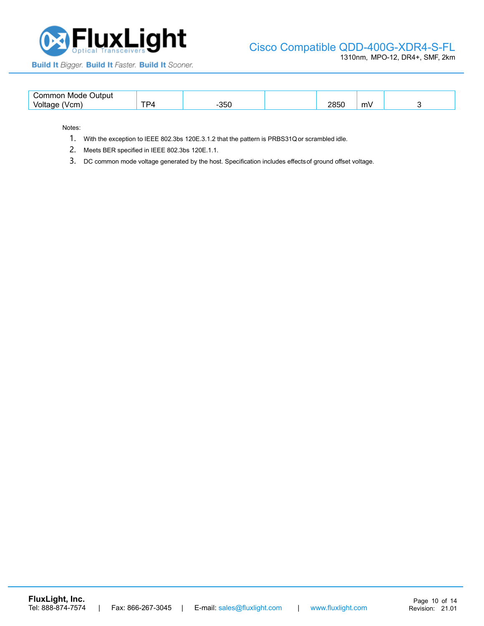

### Cisco [Compatible QDD-400G-XDR4-S-FL](https://www.fluxlight.com/transceivers/?sort=bestselling&cat=1071&rate_category=100GBase&interface_type=CWDM4)

1310nm, MPO-12, DR4+, SMF, 2km

Build It Bigger. Build It Faster. Build It Sooner.

| ∴ommon<br><b>Output</b><br>Mode.          |         |           |                    |    |  |
|-------------------------------------------|---------|-----------|--------------------|----|--|
| 'n no<br>$\mathbf{v}$<br>7 T T<br>$\cdot$ | --<br>◡ | ᇬ-<br>ววเ | <b>OOEO</b><br>∠∪∪ | m۷ |  |

Notes:

- 1. With the exception to IEEE 802.3bs 120E.3.1.2 that the pattern is PRBS31Qor scrambled idle.
- 2. Meets BER specified in IEEE 802.3bs 120E.1.1.
- 3. DC common mode voltage generated by the host. Specification includes effectsof ground offset voltage.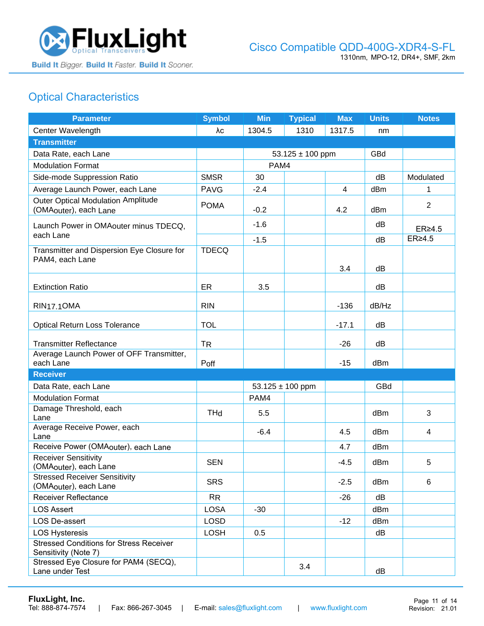

# Optical Characteristics

| <b>Parameter</b>                                                                | <b>Symbol</b> | <b>Min</b> | <b>Typical</b>       | <b>Max</b> | <b>Units</b> | <b>Notes</b>   |
|---------------------------------------------------------------------------------|---------------|------------|----------------------|------------|--------------|----------------|
| Center Wavelength                                                               | λc            | 1304.5     | 1310                 | 1317.5     | nm           |                |
| <b>Transmitter</b>                                                              |               |            |                      |            |              |                |
| Data Rate, each Lane                                                            |               |            | $53.125 \pm 100$ ppm |            | GBd          |                |
| <b>Modulation Format</b>                                                        |               | PAM4       |                      |            |              |                |
| Side-mode Suppression Ratio                                                     | <b>SMSR</b>   | 30         |                      |            | dB           | Modulated      |
| Average Launch Power, each Lane                                                 | <b>PAVG</b>   | $-2.4$     |                      | 4          | dBm          |                |
| <b>Outer Optical Modulation Amplitude</b><br>(OMA <sub>outer</sub> ), each Lane | <b>POMA</b>   | $-0.2$     |                      | 4.2        | dBm          | $\overline{2}$ |
| Launch Power in OMAouter minus TDECQ,<br>each Lane                              |               | $-1.6$     |                      |            | dB           | $ER \geq 4.5$  |
|                                                                                 |               | $-1.5$     |                      |            | dB           | ER≥4.5         |
| Transmitter and Dispersion Eye Closure for<br>PAM4, each Lane                   | <b>TDECQ</b>  |            |                      | 3.4        | dB           |                |
| <b>Extinction Ratio</b>                                                         | ER            | 3.5        |                      |            | dB           |                |
| <b>RIN17.10MA</b>                                                               | <b>RIN</b>    |            |                      | $-136$     | dB/Hz        |                |
| <b>Optical Return Loss Tolerance</b>                                            | <b>TOL</b>    |            |                      | $-17.1$    | dB           |                |
| <b>Transmitter Reflectance</b>                                                  | <b>TR</b>     |            |                      | $-26$      | dB           |                |
| Average Launch Power of OFF Transmitter,<br>each Lane                           | Poff          |            |                      | $-15$      | dBm          |                |
| <b>Receiver</b>                                                                 |               |            |                      |            |              |                |
| Data Rate, each Lane                                                            |               |            | $53.125 \pm 100$ ppm |            | GBd          |                |
| <b>Modulation Format</b>                                                        |               | PAM4       |                      |            |              |                |
| Damage Threshold, each<br>Lane                                                  | <b>THd</b>    | 5.5        |                      |            | dBm          | 3              |
| Average Receive Power, each<br>Lane                                             |               | $-6.4$     |                      | 4.5        | dBm          | 4              |
| Receive Power (OMAouter), each Lane                                             |               |            |                      | 4.7        | dBm          |                |
| <b>Receiver Sensitivity</b><br>(OMAouter), each Lane                            | <b>SEN</b>    |            |                      | $-4.5$     | dBm          | 5              |
| <b>Stressed Receiver Sensitivity</b><br>(OMA <sub>outer</sub> ), each Lane      | <b>SRS</b>    |            |                      | $-2.5$     | dBm          | 6              |
| Receiver Reflectance                                                            | <b>RR</b>     |            |                      | $-26$      | dB           |                |
| <b>LOS Assert</b>                                                               | <b>LOSA</b>   | $-30$      |                      |            | dBm          |                |
| LOS De-assert                                                                   | <b>LOSD</b>   |            |                      | $-12$      | dBm          |                |
| <b>LOS Hysteresis</b>                                                           | LOSH          | 0.5        |                      |            | dB           |                |
| <b>Stressed Conditions for Stress Receiver</b><br>Sensitivity (Note 7)          |               |            |                      |            |              |                |
| Stressed Eye Closure for PAM4 (SECQ),<br>Lane under Test                        |               |            | 3.4                  |            | dB           |                |

**[FluxLight, Inc.](https://www.fluxlight.com/)**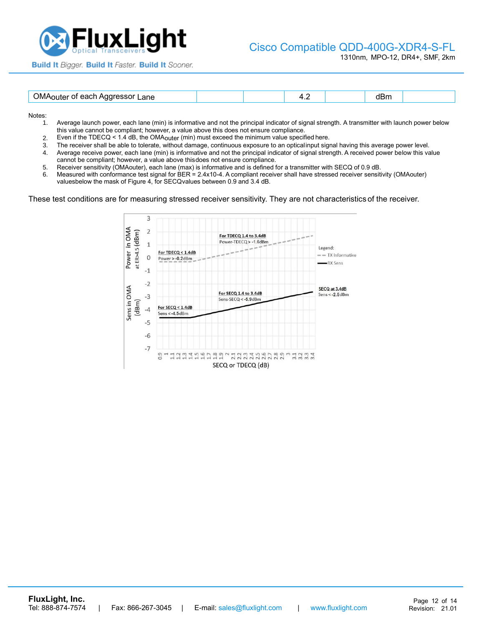

#### Cisco [Compatible QDD-400G-XDR4-S-FL](https://www.fluxlight.com/transceivers/?sort=bestselling&cat=1071&rate_category=100GBase&interface_type=CWDM4)

1310nm, MPO-12, DR4+, SMF, 2km

| <b>Build It Bigger. Build It Faster. Build It Sooner.</b> |  |  |  |  |  |
|-----------------------------------------------------------|--|--|--|--|--|
|-----------------------------------------------------------|--|--|--|--|--|

| <b>ገ</b> M-<br>Lane<br>----- | $\cdot$ $\sim$ | ווטט |  |
|------------------------------|----------------|------|--|
|                              |                |      |  |

Notes:

- 1. Average launch power, each lane (min) is informative and not the principal indicator of signal strength. A transmitter with launch power below this value cannot be compliant; however, a value above this does not ensure compliance.
- 2. Even if the TDECQ < 1.4 dB, the OMAouter (min) must exceed the minimum value specified here.
- 3. The receiver shall be able to tolerate, without damage, continuous exposure to an optical input signal having this average power level.<br>4. Average receive power, each lane (min) is informative and not the principal indi
- 4. Average receive power, each lane (min) is informative and not the principal indicator of signal strength. A received power below this value cannot be compliant; however, a value above thisdoes not ensure compliance.
- 5. Receiver sensitivity (OMAouter), each lane (max) is informative and is defined for a transmitter with SECQ of 0.9 dB.
- 6. Measured with conformance test signal for BER = 2.4x10-4. A compliant receiver shall have stressed receiver sensitivity (OMAouter) valuesbelow the mask of Figure 4, for SECQvalues between 0.9 and 3.4 dB.

These test conditions are for measuring stressed receiver sensitivity. They are not characteristics of the receiver.

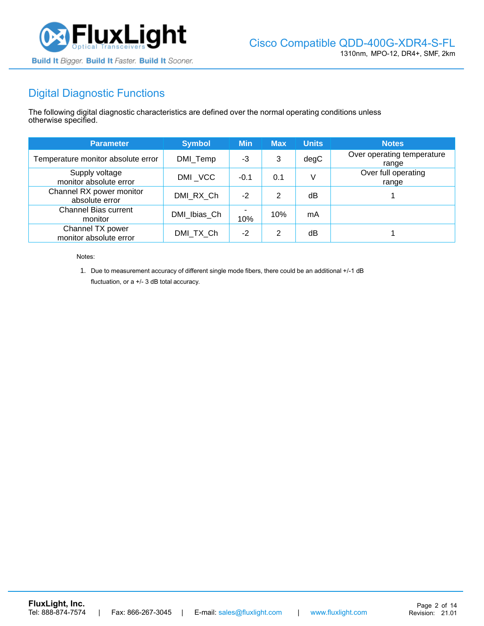

# Digital Diagnostic Functions

The following digital diagnostic characteristics are defined over the normal operating conditions unless otherwise specified.

| <b>Parameter</b>                           | <b>Symbol</b> | <b>Min</b> | <b>Max</b> | <b>Units</b> | <b>Notes</b>                        |
|--------------------------------------------|---------------|------------|------------|--------------|-------------------------------------|
| Temperature monitor absolute error         | DMI_Temp      | $-3$       | 3          | degC         | Over operating temperature<br>range |
| Supply voltage<br>monitor absolute error   | DMI_VCC       | $-0.1$     | 0.1        |              | Over full operating<br>range        |
| Channel RX power monitor<br>absolute error | DMI RX Ch     | $-2$       | 2          | dB           |                                     |
| <b>Channel Bias current</b><br>monitor     | DMI Ibias Ch  | 10%        | 10%        | mA           |                                     |
| Channel TX power<br>monitor absolute error | DMI TX Ch     | $-2$       | 2          | dB           |                                     |

Notes:

1. Due to measurement accuracy of different single mode fibers, there could be an additional +/-1 dB fluctuation, or a +/- 3 dB total accuracy.